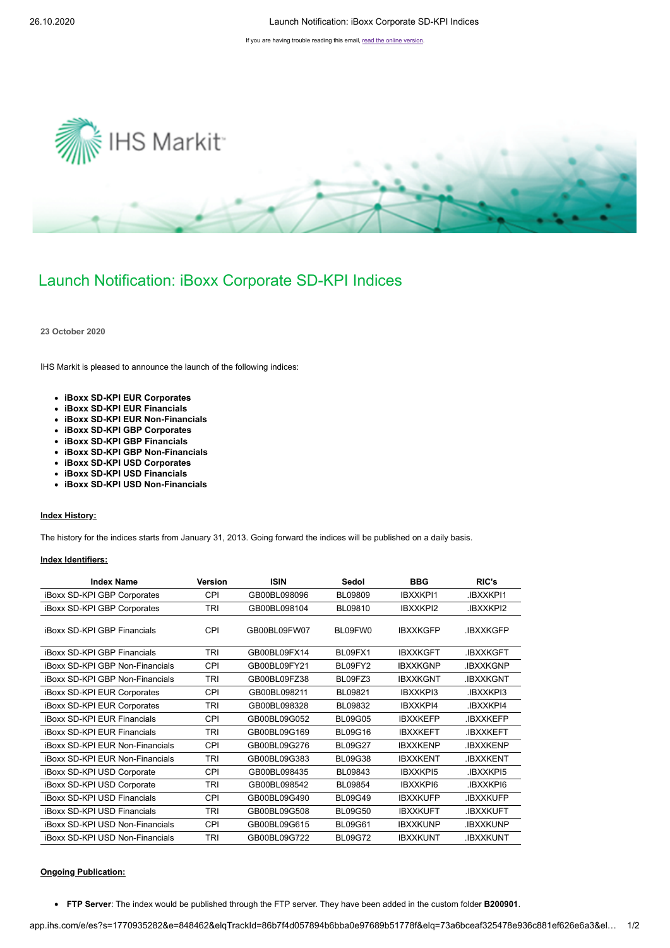If you are having trouble reading this email, [read the online version](http://app.ihs.com/e/es?s=1770935282&e=848462&elqTrackId=86b7f4d057894b6bba0e97689b51778f&elq=73a6bceaf325478e936c881ef626e6a3&elqaid=121020&elqat=1).



# Launch Notification: iBoxx Corporate SD-KPI Indices

**23 October 2020**

IHS Markit is pleased to announce the launch of the following indices:

- **iBoxx SD-KPI EUR Corporates**
- **iBoxx SD-KPI EUR Financials**
- **iBoxx SD-KPI EUR Non-Financials**
- **iBoxx SD-KPI GBP Corporates**
- **iBoxx SD-KPI GBP Financials**
- **iBoxx SD-KPI GBP Non-Financials**
- **iBoxx SD-KPI USD Corporates**
- **iBoxx SD-KPI USD Financials**
- **iBoxx SD-KPI USD Non-Financials**

### **Index History:**

The history for the indices starts from January 31, 2013. Going forward the indices will be published on a daily basis.

#### **Index Identifiers:**

| <b>Index Name</b>                  | <b>Version</b> | <b>ISIN</b>  | Sedol          | <b>BBG</b>      | RIC's            |
|------------------------------------|----------------|--------------|----------------|-----------------|------------------|
| iBoxx SD-KPI GBP Corporates        | CPI            | GB00BL098096 | <b>BL09809</b> | <b>IBXXKPI1</b> | <b>IBXXKPI1</b>  |
| iBoxx SD-KPI GBP Corporates        | TRI            | GB00BL098104 | BL09810        | IBXXKPI2        | <b>IBXXKPI2</b>  |
| <b>iBoxx SD-KPI GBP Financials</b> | CPI            | GB00BL09FW07 | BL09FW0        | <b>IBXXKGFP</b> | <b>IBXXKGFP</b>  |
| <b>iBoxx SD-KPI GBP Financials</b> | TRI            | GB00BL09FX14 | BL09FX1        | <b>IBXXKGFT</b> | <b>.IBXXKGFT</b> |
| iBoxx SD-KPI GBP Non-Financials    | <b>CPI</b>     | GB00BL09FY21 | BL09FY2        | <b>IBXXKGNP</b> | .IBXXKGNP        |
| iBoxx SD-KPI GBP Non-Financials    | TRI            | GB00BL09FZ38 | BL09FZ3        | <b>IBXXKGNT</b> | <b>.IBXXKGNT</b> |
| iBoxx SD-KPI EUR Corporates        | CPI            | GB00BL098211 | BL09821        | IBXXKPI3        | <b>IBXXKPI3</b>  |
| <b>iBoxx SD-KPI EUR Corporates</b> | TRI            | GB00BL098328 | BL09832        | <b>IBXXKPI4</b> | <b>IBXXKPI4</b>  |
| <b>iBoxx SD-KPI EUR Financials</b> | <b>CPI</b>     | GB00BL09G052 | <b>BL09G05</b> | <b>IBXXKEFP</b> | .IBXXKEFP        |
| <b>iBoxx SD-KPI EUR Financials</b> | <b>TRI</b>     | GB00BL09G169 | <b>BL09G16</b> | <b>IBXXKEFT</b> | <b>.IBXXKEFT</b> |
| iBoxx SD-KPI EUR Non-Financials    | CPI            | GB00BL09G276 | <b>BL09G27</b> | <b>IBXXKENP</b> | <b>.IBXXKENP</b> |
| iBoxx SD-KPI EUR Non-Financials    | TRI            | GB00BL09G383 | <b>BL09G38</b> | <b>IBXXKENT</b> | <b>.IBXXKENT</b> |
| iBoxx SD-KPI USD Corporate         | <b>CPI</b>     | GB00BL098435 | BL09843        | <b>IBXXKPI5</b> | <b>IBXXKPI5</b>  |
| iBoxx SD-KPI USD Corporate         | TRI            | GB00BL098542 | BL09854        | <b>IBXXKPI6</b> | .IBXXKPI6        |
| iBoxx SD-KPI USD Financials        | <b>CPI</b>     | GB00BL09G490 | <b>BL09G49</b> | <b>IBXXKUFP</b> | <b>.IBXXKUFP</b> |
| <b>iBoxx SD-KPI USD Financials</b> | TRI            | GB00BL09G508 | <b>BL09G50</b> | <b>IBXXKUFT</b> | .IBXXKUFT        |
| iBoxx SD-KPI USD Non-Financials    | CPI            | GB00BL09G615 | <b>BL09G61</b> | <b>IBXXKUNP</b> | <b>IBXXKUNP</b>  |
| iBoxx SD-KPI USD Non-Financials    | TRI            | GB00BL09G722 | <b>BL09G72</b> | <b>IBXXKUNT</b> | <b>IBXXKUNT</b>  |

#### **Ongoing Publication:**

**FTP Server**: The index would be published through the FTP server. They have been added in the custom folder **B200901**.